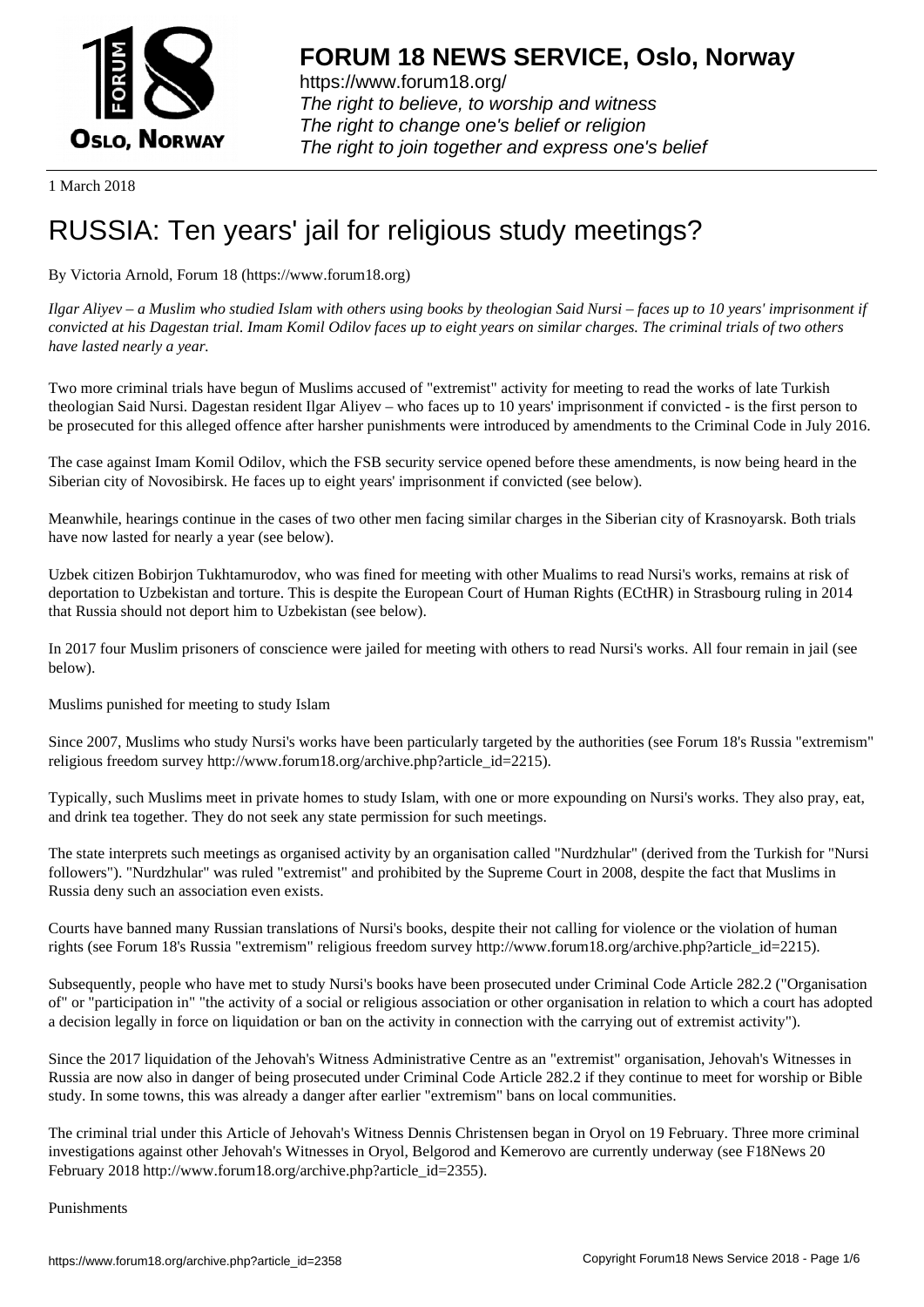

https://www.forum18.org/ The right to believe, to worship and witness The right to change one's belief or religion [The right to join together a](https://www.forum18.org/)nd express one's belief

1 March 2018

## [RUSSIA: Ten y](https://www.forum18.org)ears' jail for religious study meetings?

## By Victoria Arnold, Forum 18 (https://www.forum18.org)

*Ilgar Aliyev – a Muslim who studied Islam with others using books by theologian Said Nursi – faces up to 10 years' imprisonment if convicted at his Dagestan trial. Imam Komil Odilov faces up to eight years on similar charges. The criminal trials of two others have lasted nearly a year.*

Two more criminal trials have begun of Muslims accused of "extremist" activity for meeting to read the works of late Turkish theologian Said Nursi. Dagestan resident Ilgar Aliyev – who faces up to 10 years' imprisonment if convicted - is the first person to be prosecuted for this alleged offence after harsher punishments were introduced by amendments to the Criminal Code in July 2016.

The case against Imam Komil Odilov, which the FSB security service opened before these amendments, is now being heard in the Siberian city of Novosibirsk. He faces up to eight years' imprisonment if convicted (see below).

Meanwhile, hearings continue in the cases of two other men facing similar charges in the Siberian city of Krasnoyarsk. Both trials have now lasted for nearly a year (see below).

Uzbek citizen Bobirjon Tukhtamurodov, who was fined for meeting with other Mualims to read Nursi's works, remains at risk of deportation to Uzbekistan and torture. This is despite the European Court of Human Rights (ECtHR) in Strasbourg ruling in 2014 that Russia should not deport him to Uzbekistan (see below).

In 2017 four Muslim prisoners of conscience were jailed for meeting with others to read Nursi's works. All four remain in jail (see below).

Muslims punished for meeting to study Islam

Since 2007, Muslims who study Nursi's works have been particularly targeted by the authorities (see Forum 18's Russia "extremism" religious freedom survey http://www.forum18.org/archive.php?article\_id=2215).

Typically, such Muslims meet in private homes to study Islam, with one or more expounding on Nursi's works. They also pray, eat, and drink tea together. They do not seek any state permission for such meetings.

The state interprets such meetings as organised activity by an organisation called "Nurdzhular" (derived from the Turkish for "Nursi followers"). "Nurdzhular" was ruled "extremist" and prohibited by the Supreme Court in 2008, despite the fact that Muslims in Russia deny such an association even exists.

Courts have banned many Russian translations of Nursi's books, despite their not calling for violence or the violation of human rights (see Forum 18's Russia "extremism" religious freedom survey http://www.forum18.org/archive.php?article\_id=2215).

Subsequently, people who have met to study Nursi's books have been prosecuted under Criminal Code Article 282.2 ("Organisation of" or "participation in" "the activity of a social or religious association or other organisation in relation to which a court has adopted a decision legally in force on liquidation or ban on the activity in connection with the carrying out of extremist activity").

Since the 2017 liquidation of the Jehovah's Witness Administrative Centre as an "extremist" organisation, Jehovah's Witnesses in Russia are now also in danger of being prosecuted under Criminal Code Article 282.2 if they continue to meet for worship or Bible study. In some towns, this was already a danger after earlier "extremism" bans on local communities.

The criminal trial under this Article of Jehovah's Witness Dennis Christensen began in Oryol on 19 February. Three more criminal investigations against other Jehovah's Witnesses in Oryol, Belgorod and Kemerovo are currently underway (see F18News 20 February 2018 http://www.forum18.org/archive.php?article\_id=2355).

Punishments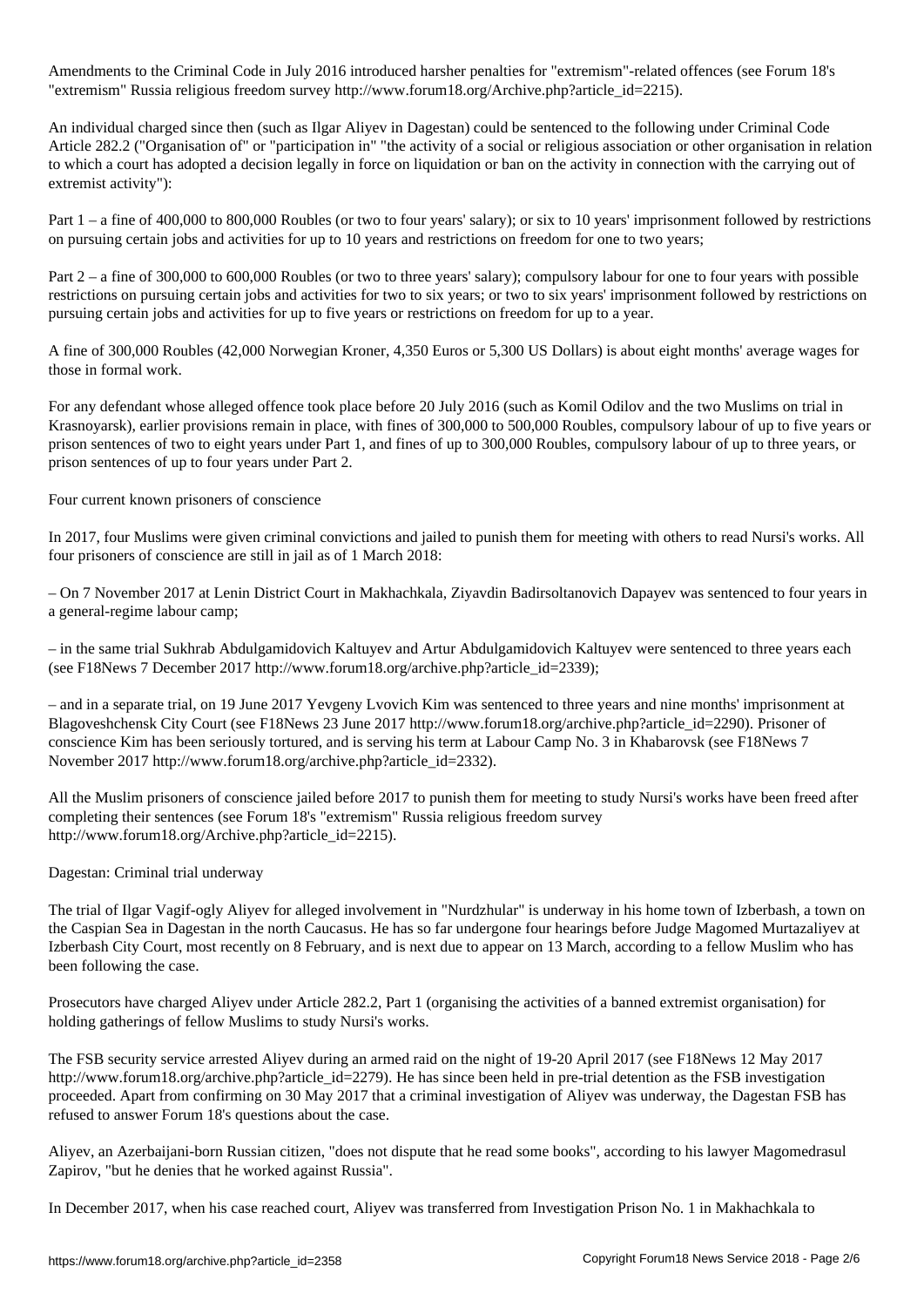Amendments to the Criminal Code introduced harsher penalties for  $\lambda$  extremism  $\lambda$ "extremism" Russia religious freedom survey http://www.forum18.org/Archive.php?article\_id=2215).

An individual charged since then (such as Ilgar Aliyev in Dagestan) could be sentenced to the following under Criminal Code Article 282.2 ("Organisation of" or "participation in" "the activity of a social or religious association or other organisation in relation to which a court has adopted a decision legally in force on liquidation or ban on the activity in connection with the carrying out of extremist activity"):

Part 1 – a fine of 400,000 to 800,000 Roubles (or two to four years' salary); or six to 10 years' imprisonment followed by restrictions on pursuing certain jobs and activities for up to 10 years and restrictions on freedom for one to two years;

Part 2 – a fine of 300,000 to 600,000 Roubles (or two to three years' salary); compulsory labour for one to four years with possible restrictions on pursuing certain jobs and activities for two to six years; or two to six years' imprisonment followed by restrictions on pursuing certain jobs and activities for up to five years or restrictions on freedom for up to a year.

A fine of 300,000 Roubles (42,000 Norwegian Kroner, 4,350 Euros or 5,300 US Dollars) is about eight months' average wages for those in formal work.

For any defendant whose alleged offence took place before 20 July 2016 (such as Komil Odilov and the two Muslims on trial in Krasnoyarsk), earlier provisions remain in place, with fines of 300,000 to 500,000 Roubles, compulsory labour of up to five years or prison sentences of two to eight years under Part 1, and fines of up to 300,000 Roubles, compulsory labour of up to three years, or prison sentences of up to four years under Part 2.

Four current known prisoners of conscience

In 2017, four Muslims were given criminal convictions and jailed to punish them for meeting with others to read Nursi's works. All four prisoners of conscience are still in jail as of 1 March 2018:

– On 7 November 2017 at Lenin District Court in Makhachkala, Ziyavdin Badirsoltanovich Dapayev was sentenced to four years in a general-regime labour camp;

– in the same trial Sukhrab Abdulgamidovich Kaltuyev and Artur Abdulgamidovich Kaltuyev were sentenced to three years each (see F18News 7 December 2017 http://www.forum18.org/archive.php?article\_id=2339);

– and in a separate trial, on 19 June 2017 Yevgeny Lvovich Kim was sentenced to three years and nine months' imprisonment at Blagoveshchensk City Court (see F18News 23 June 2017 http://www.forum18.org/archive.php?article\_id=2290). Prisoner of conscience Kim has been seriously tortured, and is serving his term at Labour Camp No. 3 in Khabarovsk (see F18News 7 November 2017 http://www.forum18.org/archive.php?article\_id=2332).

All the Muslim prisoners of conscience jailed before 2017 to punish them for meeting to study Nursi's works have been freed after completing their sentences (see Forum 18's "extremism" Russia religious freedom survey http://www.forum18.org/Archive.php?article\_id=2215).

Dagestan: Criminal trial underway

The trial of Ilgar Vagif-ogly Aliyev for alleged involvement in "Nurdzhular" is underway in his home town of Izberbash, a town on the Caspian Sea in Dagestan in the north Caucasus. He has so far undergone four hearings before Judge Magomed Murtazaliyev at Izberbash City Court, most recently on 8 February, and is next due to appear on 13 March, according to a fellow Muslim who has been following the case.

Prosecutors have charged Aliyev under Article 282.2, Part 1 (organising the activities of a banned extremist organisation) for holding gatherings of fellow Muslims to study Nursi's works.

The FSB security service arrested Aliyev during an armed raid on the night of 19-20 April 2017 (see F18News 12 May 2017 http://www.forum18.org/archive.php?article\_id=2279). He has since been held in pre-trial detention as the FSB investigation proceeded. Apart from confirming on 30 May 2017 that a criminal investigation of Aliyev was underway, the Dagestan FSB has refused to answer Forum 18's questions about the case.

Aliyev, an Azerbaijani-born Russian citizen, "does not dispute that he read some books", according to his lawyer Magomedrasul Zapirov, "but he denies that he worked against Russia".

In December 2017, when his case reached court, Aliyev was transferred from Investigation Prison No. 1 in Makhachkala to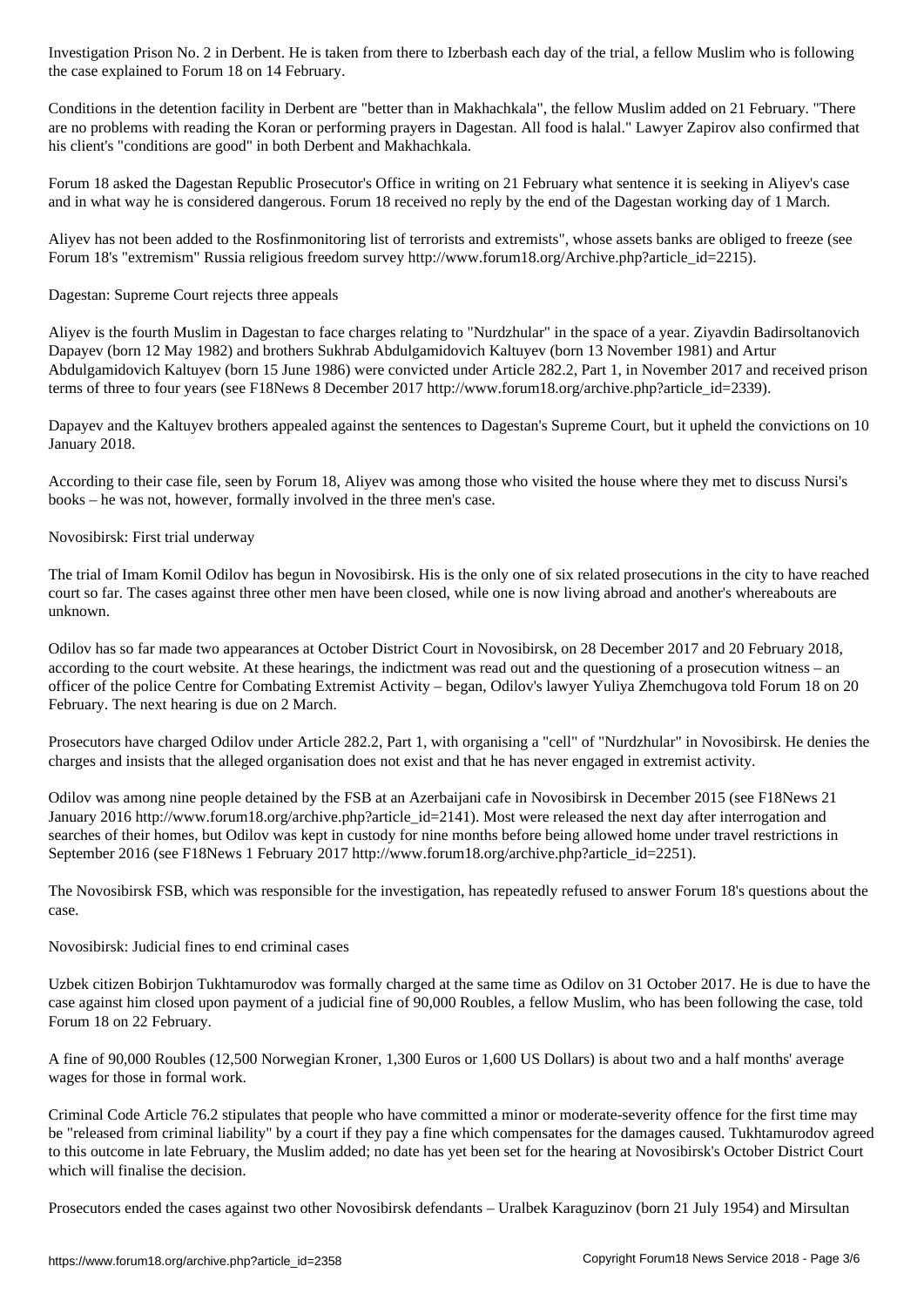the case explained to  $\mathcal{L}_{\text{max}}$ 

Conditions in the detention facility in Derbent are "better than in Makhachkala", the fellow Muslim added on 21 February. "There are no problems with reading the Koran or performing prayers in Dagestan. All food is halal." Lawyer Zapirov also confirmed that his client's "conditions are good" in both Derbent and Makhachkala.

Forum 18 asked the Dagestan Republic Prosecutor's Office in writing on 21 February what sentence it is seeking in Aliyev's case and in what way he is considered dangerous. Forum 18 received no reply by the end of the Dagestan working day of 1 March.

Aliyev has not been added to the Rosfinmonitoring list of terrorists and extremists", whose assets banks are obliged to freeze (see Forum 18's "extremism" Russia religious freedom survey http://www.forum18.org/Archive.php?article\_id=2215).

Dagestan: Supreme Court rejects three appeals

Aliyev is the fourth Muslim in Dagestan to face charges relating to "Nurdzhular" in the space of a year. Ziyavdin Badirsoltanovich Dapayev (born 12 May 1982) and brothers Sukhrab Abdulgamidovich Kaltuyev (born 13 November 1981) and Artur Abdulgamidovich Kaltuyev (born 15 June 1986) were convicted under Article 282.2, Part 1, in November 2017 and received prison terms of three to four years (see F18News 8 December 2017 http://www.forum18.org/archive.php?article\_id=2339).

Dapayev and the Kaltuyev brothers appealed against the sentences to Dagestan's Supreme Court, but it upheld the convictions on 10 January 2018.

According to their case file, seen by Forum 18, Aliyev was among those who visited the house where they met to discuss Nursi's books – he was not, however, formally involved in the three men's case.

Novosibirsk: First trial underway

The trial of Imam Komil Odilov has begun in Novosibirsk. His is the only one of six related prosecutions in the city to have reached court so far. The cases against three other men have been closed, while one is now living abroad and another's whereabouts are unknown.

Odilov has so far made two appearances at October District Court in Novosibirsk, on 28 December 2017 and 20 February 2018, according to the court website. At these hearings, the indictment was read out and the questioning of a prosecution witness – an officer of the police Centre for Combating Extremist Activity – began, Odilov's lawyer Yuliya Zhemchugova told Forum 18 on 20 February. The next hearing is due on 2 March.

Prosecutors have charged Odilov under Article 282.2, Part 1, with organising a "cell" of "Nurdzhular" in Novosibirsk. He denies the charges and insists that the alleged organisation does not exist and that he has never engaged in extremist activity.

Odilov was among nine people detained by the FSB at an Azerbaijani cafe in Novosibirsk in December 2015 (see F18News 21 January 2016 http://www.forum18.org/archive.php?article\_id=2141). Most were released the next day after interrogation and searches of their homes, but Odilov was kept in custody for nine months before being allowed home under travel restrictions in September 2016 (see F18News 1 February 2017 http://www.forum18.org/archive.php?article\_id=2251).

The Novosibirsk FSB, which was responsible for the investigation, has repeatedly refused to answer Forum 18's questions about the case.

Novosibirsk: Judicial fines to end criminal cases

Uzbek citizen Bobirjon Tukhtamurodov was formally charged at the same time as Odilov on 31 October 2017. He is due to have the case against him closed upon payment of a judicial fine of 90,000 Roubles, a fellow Muslim, who has been following the case, told Forum 18 on 22 February.

A fine of 90,000 Roubles (12,500 Norwegian Kroner, 1,300 Euros or 1,600 US Dollars) is about two and a half months' average wages for those in formal work.

Criminal Code Article 76.2 stipulates that people who have committed a minor or moderate-severity offence for the first time may be "released from criminal liability" by a court if they pay a fine which compensates for the damages caused. Tukhtamurodov agreed to this outcome in late February, the Muslim added; no date has yet been set for the hearing at Novosibirsk's October District Court which will finalise the decision.

Prosecutors ended the cases against two other Novosibirsk defendants – Uralbek Karaguzinov (born 21 July 1954) and Mirsultan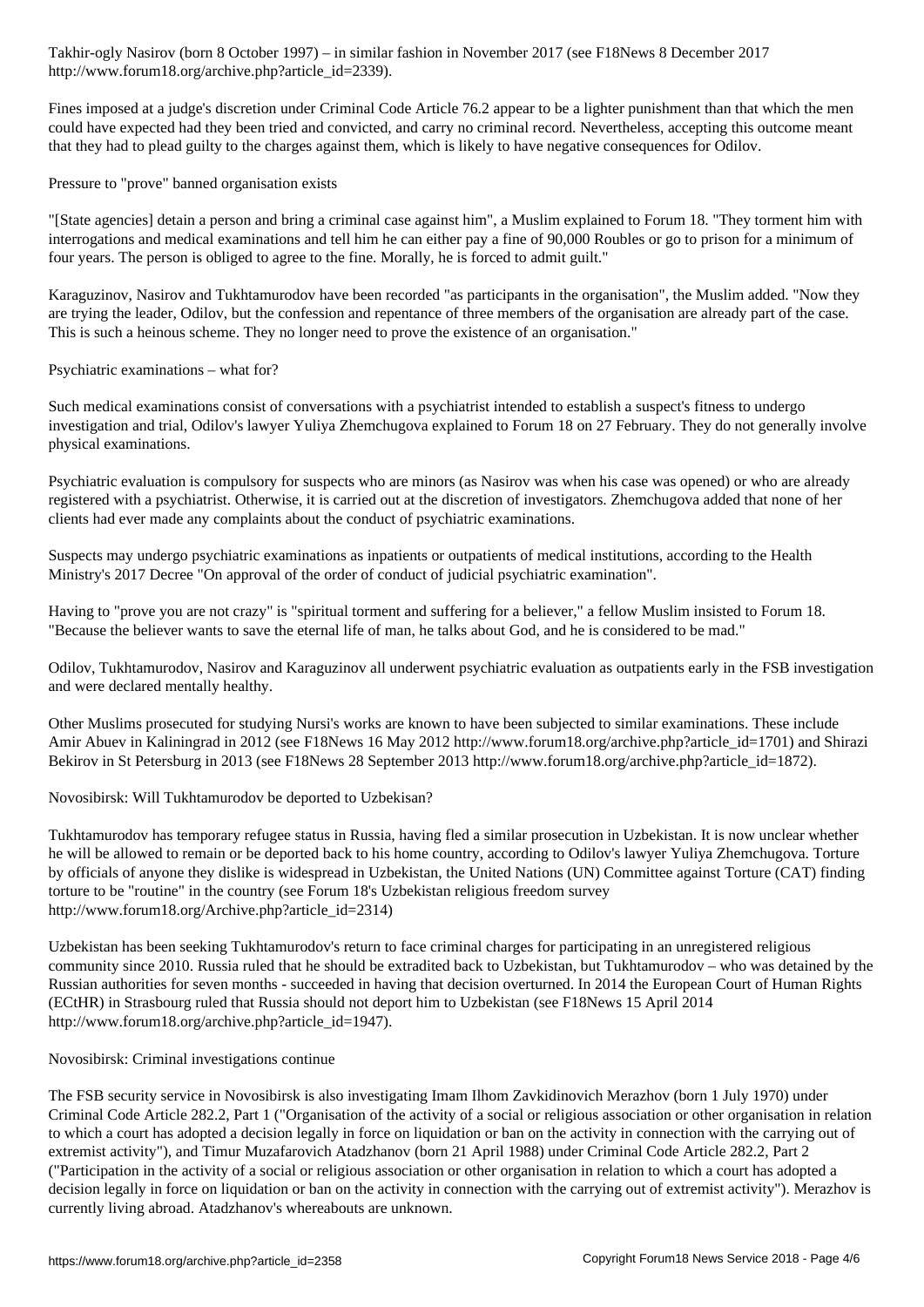http://www.forum18.org/archive.php?article\_id=2339).

Fines imposed at a judge's discretion under Criminal Code Article 76.2 appear to be a lighter punishment than that which the men could have expected had they been tried and convicted, and carry no criminal record. Nevertheless, accepting this outcome meant that they had to plead guilty to the charges against them, which is likely to have negative consequences for Odilov.

Pressure to "prove" banned organisation exists

"[State agencies] detain a person and bring a criminal case against him", a Muslim explained to Forum 18. "They torment him with interrogations and medical examinations and tell him he can either pay a fine of 90,000 Roubles or go to prison for a minimum of four years. The person is obliged to agree to the fine. Morally, he is forced to admit guilt."

Karaguzinov, Nasirov and Tukhtamurodov have been recorded "as participants in the organisation", the Muslim added. "Now they are trying the leader, Odilov, but the confession and repentance of three members of the organisation are already part of the case. This is such a heinous scheme. They no longer need to prove the existence of an organisation."

Psychiatric examinations – what for?

Such medical examinations consist of conversations with a psychiatrist intended to establish a suspect's fitness to undergo investigation and trial, Odilov's lawyer Yuliya Zhemchugova explained to Forum 18 on 27 February. They do not generally involve physical examinations.

Psychiatric evaluation is compulsory for suspects who are minors (as Nasirov was when his case was opened) or who are already registered with a psychiatrist. Otherwise, it is carried out at the discretion of investigators. Zhemchugova added that none of her clients had ever made any complaints about the conduct of psychiatric examinations.

Suspects may undergo psychiatric examinations as inpatients or outpatients of medical institutions, according to the Health Ministry's 2017 Decree "On approval of the order of conduct of judicial psychiatric examination".

Having to "prove you are not crazy" is "spiritual torment and suffering for a believer," a fellow Muslim insisted to Forum 18. "Because the believer wants to save the eternal life of man, he talks about God, and he is considered to be mad."

Odilov, Tukhtamurodov, Nasirov and Karaguzinov all underwent psychiatric evaluation as outpatients early in the FSB investigation and were declared mentally healthy.

Other Muslims prosecuted for studying Nursi's works are known to have been subjected to similar examinations. These include Amir Abuev in Kaliningrad in 2012 (see F18News 16 May 2012 http://www.forum18.org/archive.php?article\_id=1701) and Shirazi Bekirov in St Petersburg in 2013 (see F18News 28 September 2013 http://www.forum18.org/archive.php?article\_id=1872).

Novosibirsk: Will Tukhtamurodov be deported to Uzbekisan?

Tukhtamurodov has temporary refugee status in Russia, having fled a similar prosecution in Uzbekistan. It is now unclear whether he will be allowed to remain or be deported back to his home country, according to Odilov's lawyer Yuliya Zhemchugova. Torture by officials of anyone they dislike is widespread in Uzbekistan, the United Nations (UN) Committee against Torture (CAT) finding torture to be "routine" in the country (see Forum 18's Uzbekistan religious freedom survey http://www.forum18.org/Archive.php?article\_id=2314)

Uzbekistan has been seeking Tukhtamurodov's return to face criminal charges for participating in an unregistered religious community since 2010. Russia ruled that he should be extradited back to Uzbekistan, but Tukhtamurodov – who was detained by the Russian authorities for seven months - succeeded in having that decision overturned. In 2014 the European Court of Human Rights (ECtHR) in Strasbourg ruled that Russia should not deport him to Uzbekistan (see F18News 15 April 2014 http://www.forum18.org/archive.php?article\_id=1947).

Novosibirsk: Criminal investigations continue

The FSB security service in Novosibirsk is also investigating Imam Ilhom Zavkidinovich Merazhov (born 1 July 1970) under Criminal Code Article 282.2, Part 1 ("Organisation of the activity of a social or religious association or other organisation in relation to which a court has adopted a decision legally in force on liquidation or ban on the activity in connection with the carrying out of extremist activity"), and Timur Muzafarovich Atadzhanov (born 21 April 1988) under Criminal Code Article 282.2, Part 2 ("Participation in the activity of a social or religious association or other organisation in relation to which a court has adopted a decision legally in force on liquidation or ban on the activity in connection with the carrying out of extremist activity"). Merazhov is currently living abroad. Atadzhanov's whereabouts are unknown.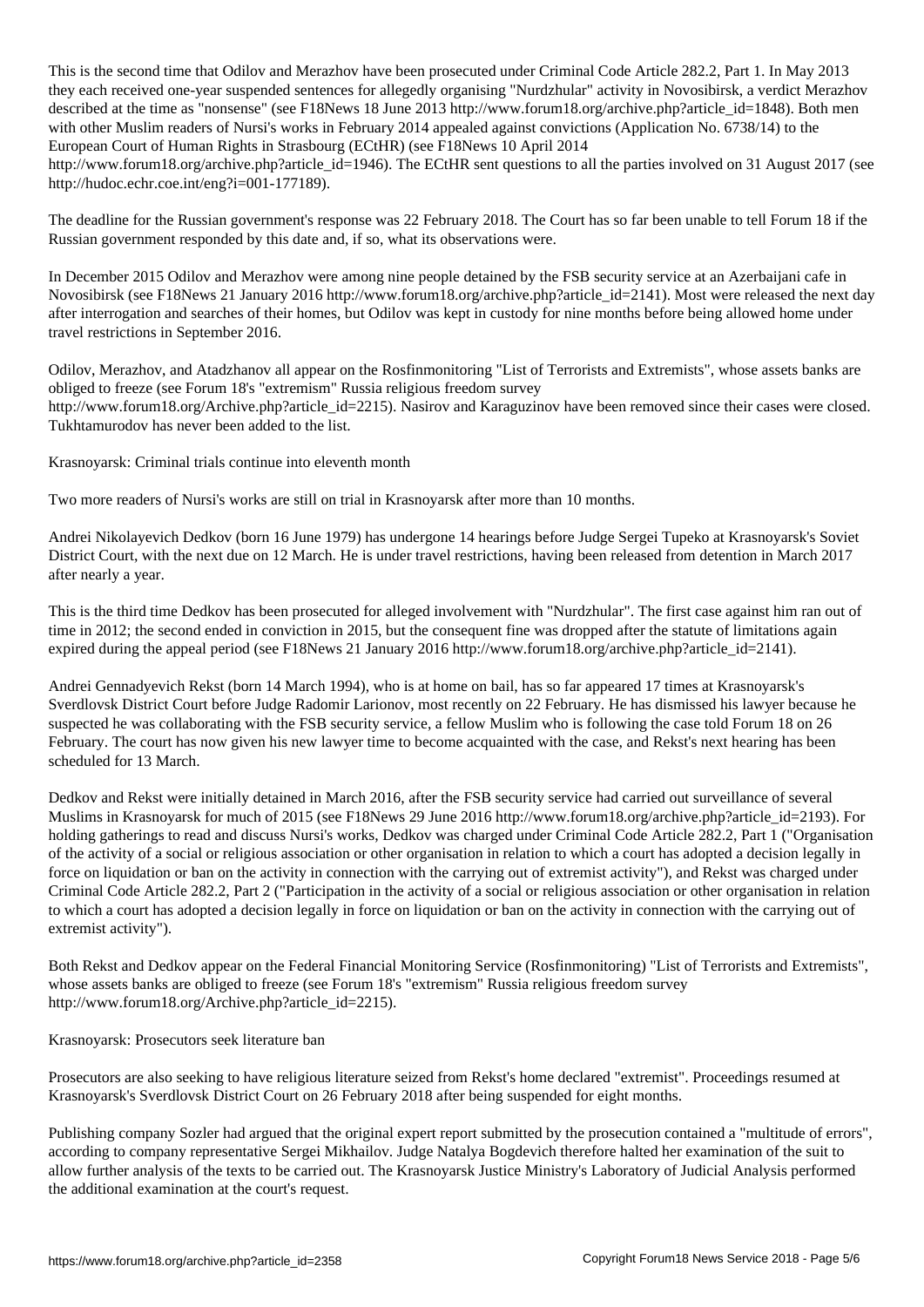This is the second time that Odilov and Merazhov have been prosecuted under  $\ell$ they each received one-year suspended sentences for allegedly organising "Nurdzhular" activity in Novosibirsk, a verdict Merazhov described at the time as "nonsense" (see F18News 18 June 2013 http://www.forum18.org/archive.php?article\_id=1848). Both men with other Muslim readers of Nursi's works in February 2014 appealed against convictions (Application No. 6738/14) to the European Court of Human Rights in Strasbourg (ECtHR) (see F18News 10 April 2014

http://www.forum18.org/archive.php?article\_id=1946). The ECtHR sent questions to all the parties involved on 31 August 2017 (see http://hudoc.echr.coe.int/eng?i=001-177189).

The deadline for the Russian government's response was 22 February 2018. The Court has so far been unable to tell Forum 18 if the Russian government responded by this date and, if so, what its observations were.

In December 2015 Odilov and Merazhov were among nine people detained by the FSB security service at an Azerbaijani cafe in Novosibirsk (see F18News 21 January 2016 http://www.forum18.org/archive.php?article\_id=2141). Most were released the next day after interrogation and searches of their homes, but Odilov was kept in custody for nine months before being allowed home under travel restrictions in September 2016.

Odilov, Merazhov, and Atadzhanov all appear on the Rosfinmonitoring "List of Terrorists and Extremists", whose assets banks are obliged to freeze (see Forum 18's "extremism" Russia religious freedom survey http://www.forum18.org/Archive.php?article\_id=2215). Nasirov and Karaguzinov have been removed since their cases were closed. Tukhtamurodov has never been added to the list.

Krasnoyarsk: Criminal trials continue into eleventh month

Two more readers of Nursi's works are still on trial in Krasnoyarsk after more than 10 months.

Andrei Nikolayevich Dedkov (born 16 June 1979) has undergone 14 hearings before Judge Sergei Tupeko at Krasnoyarsk's Soviet District Court, with the next due on 12 March. He is under travel restrictions, having been released from detention in March 2017 after nearly a year.

This is the third time Dedkov has been prosecuted for alleged involvement with "Nurdzhular". The first case against him ran out of time in 2012; the second ended in conviction in 2015, but the consequent fine was dropped after the statute of limitations again expired during the appeal period (see F18News 21 January 2016 http://www.forum18.org/archive.php?article\_id=2141).

Andrei Gennadyevich Rekst (born 14 March 1994), who is at home on bail, has so far appeared 17 times at Krasnoyarsk's Sverdlovsk District Court before Judge Radomir Larionov, most recently on 22 February. He has dismissed his lawyer because he suspected he was collaborating with the FSB security service, a fellow Muslim who is following the case told Forum 18 on 26 February. The court has now given his new lawyer time to become acquainted with the case, and Rekst's next hearing has been scheduled for 13 March.

Dedkov and Rekst were initially detained in March 2016, after the FSB security service had carried out surveillance of several Muslims in Krasnoyarsk for much of 2015 (see F18News 29 June 2016 http://www.forum18.org/archive.php?article\_id=2193). For holding gatherings to read and discuss Nursi's works, Dedkov was charged under Criminal Code Article 282.2, Part 1 ("Organisation of the activity of a social or religious association or other organisation in relation to which a court has adopted a decision legally in force on liquidation or ban on the activity in connection with the carrying out of extremist activity"), and Rekst was charged under Criminal Code Article 282.2, Part 2 ("Participation in the activity of a social or religious association or other organisation in relation to which a court has adopted a decision legally in force on liquidation or ban on the activity in connection with the carrying out of extremist activity").

Both Rekst and Dedkov appear on the Federal Financial Monitoring Service (Rosfinmonitoring) "List of Terrorists and Extremists", whose assets banks are obliged to freeze (see Forum 18's "extremism" Russia religious freedom survey http://www.forum18.org/Archive.php?article\_id=2215).

Krasnoyarsk: Prosecutors seek literature ban

Prosecutors are also seeking to have religious literature seized from Rekst's home declared "extremist". Proceedings resumed at Krasnoyarsk's Sverdlovsk District Court on 26 February 2018 after being suspended for eight months.

Publishing company Sozler had argued that the original expert report submitted by the prosecution contained a "multitude of errors", according to company representative Sergei Mikhailov. Judge Natalya Bogdevich therefore halted her examination of the suit to allow further analysis of the texts to be carried out. The Krasnoyarsk Justice Ministry's Laboratory of Judicial Analysis performed the additional examination at the court's request.